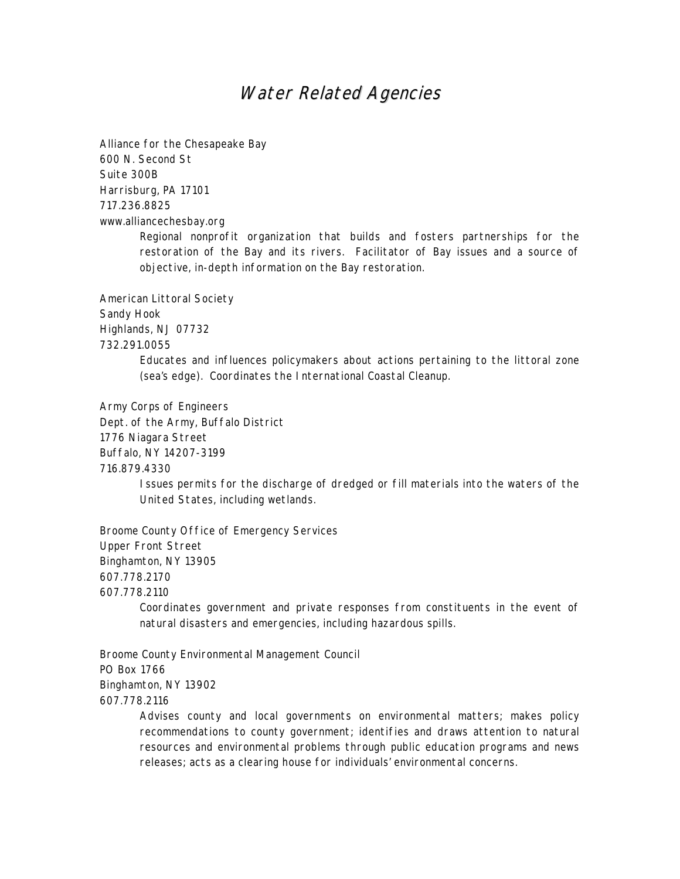## Water Related Agencies

Alliance for the Chesapeake Bay 600 N. Second St Suite 300B Harrisburg, PA 17101 717.236.8825 www.alliancechesbay.org

Regional nonprofit organization that builds and fosters partnerships for the restoration of the Bay and its rivers. Facilitator of Bay issues and a source of objective, in-depth information on the Bay restoration.

American Littoral Society Sandy Hook Highlands, NJ 07732 732.291.0055

> Educates and influences policymakers about actions pertaining to the littoral zone (sea's edge). Coordinates the International Coastal Cleanup.

Army Corps of Engineers

Dept. of the Army, Buffalo District

1776 Niagara Street

Buffalo, NY 14207-3199

716.879.4330

Issues permits for the discharge of dredged or fill materials into the waters of the United States, including wetlands.

Broome County Office of Emergency Services Upper Front Street Binghamton, NY 13905 607.778.2170 607.778.2110

Coordinates government and private responses from constituents in the event of natural disasters and emergencies, including hazardous spills.

Broome County Environmental Management Council PO Box 1766 Binghamton, NY 13902 607.778.2116

> Advises county and local governments on environmental matters; makes policy recommendations to county government; identifies and draws attention to natural resources and environmental problems through public education programs and news releases; acts as a clearing house for individuals' environmental concerns.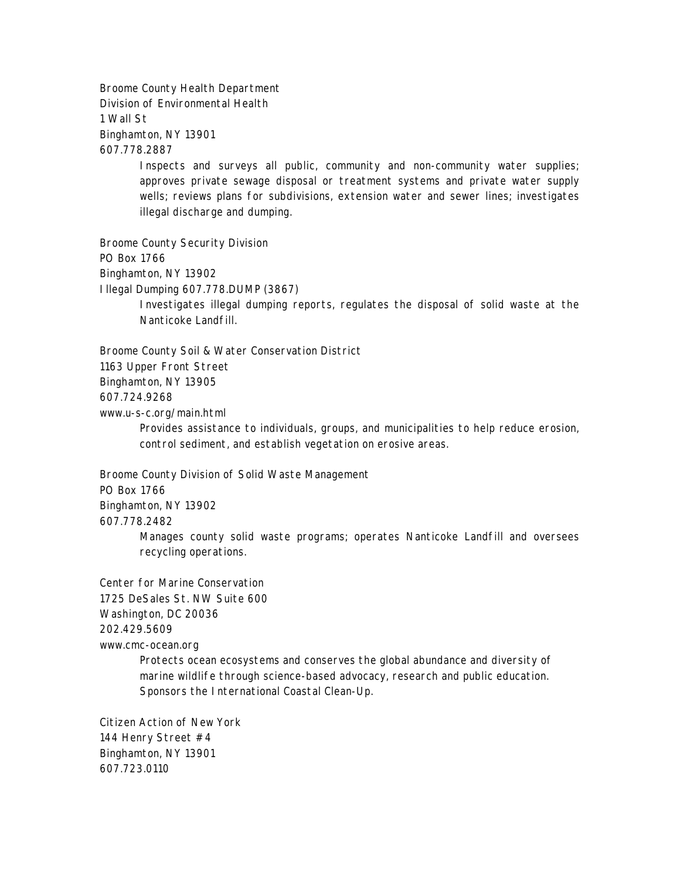Broome County Health Department Division of Environmental Health 1 Wall St Binghamton, NY 13901 607.778.2887

> Inspects and surveys all public, community and non-community water supplies; approves private sewage disposal or treatment systems and private water supply wells; reviews plans for subdivisions, extension water and sewer lines; investigates illegal discharge and dumping.

Broome County Security Division PO Box 1766 Binghamton, NY 13902 Illegal Dumping 607.778.DUMP (3867) Investigates illegal dumping reports, regulates the disposal of solid waste at the Nanticoke Landfill.

Broome County Soil & Water Conservation District 1163 Upper Front Street Binghamton, NY 13905 607.724.9268 www.u-s-c.org/main.html

Provides assistance to individuals, groups, and municipalities to help reduce erosion, control sediment, and establish vegetation on erosive areas.

Broome County Division of Solid Waste Management PO Box 1766 Binghamton, NY 13902 607.778.2482

Manages county solid waste programs; operates Nanticoke Landfill and oversees recycling operations.

Center for Marine Conservation 1725 DeSales St. NW Suite 600 Washington, DC 20036 202.429.5609 www.cmc-ocean.org

Protects ocean ecosystems and conserves the global abundance and diversity of marine wildlife through science-based advocacy, research and public education. Sponsors the International Coastal Clean-Up.

Citizen Action of New York 144 Henry Street #4 Binghamton, NY 13901 607.723.0110